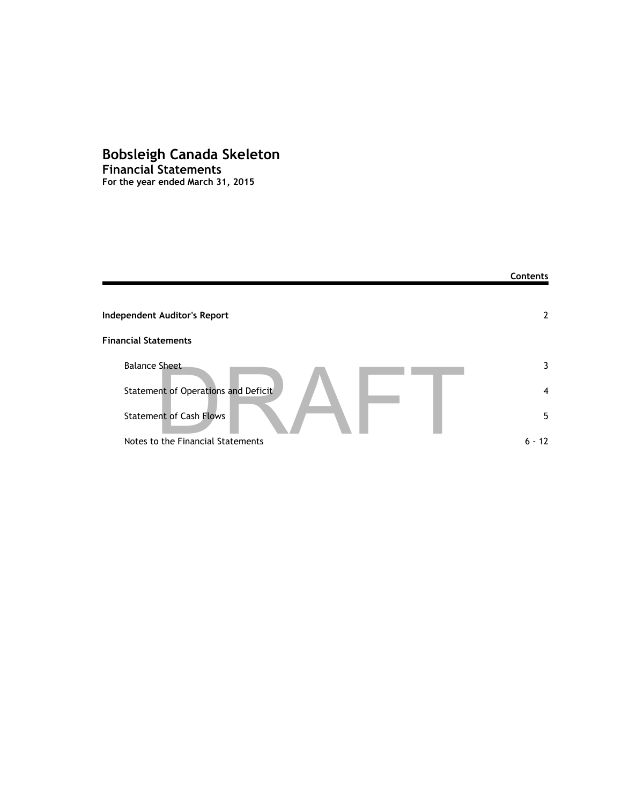# **Bobsleigh Canada Skeleton Financial Statements**

**For the year ended March 31, 2015**

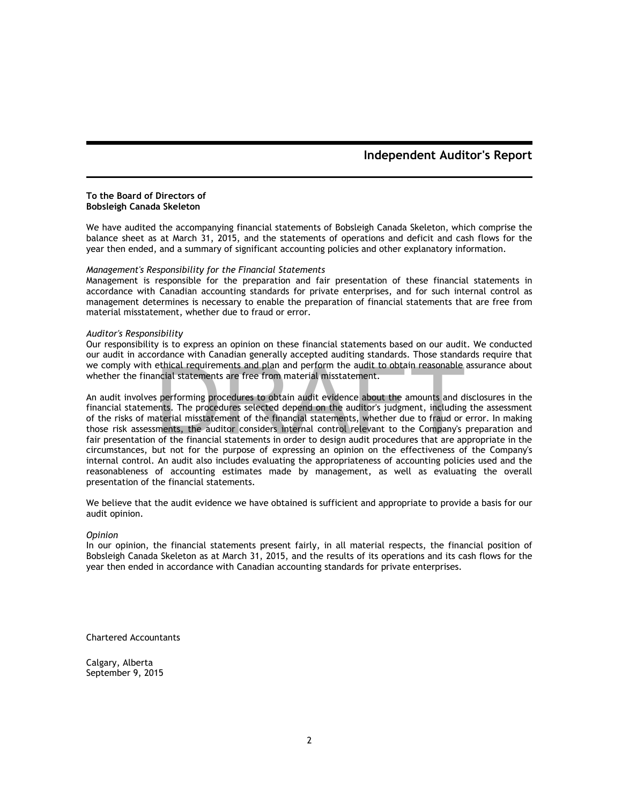## **Independent Auditor's Report**

#### **To the Board of Directors of Bobsleigh Canada Skeleton**

We have audited the accompanying financial statements of Bobsleigh Canada Skeleton, which comprise the balance sheet as at March 31, 2015, and the statements of operations and deficit and cash flows for the year then ended, and a summary of significant accounting policies and other explanatory information.

### *Management's Responsibility for the Financial Statements*

Management is responsible for the preparation and fair presentation of these financial statements in accordance with Canadian accounting standards for private enterprises, and for such internal control as management determines is necessary to enable the preparation of financial statements that are free from material misstatement, whether due to fraud or error.

#### *Auditor's Responsibility*

Our responsibility is to express an opinion on these financial statements based on our audit. We conducted our audit in accordance with Canadian generally accepted auditing standards. Those standards require that we comply with ethical requirements and plan and perform the audit to obtain reasonable assurance about whether the financial statements are free from material misstatement.

An audit involves performing procedures to obtain audit evidence about the amounts and disclosures in the financial statements. The procedures selected depend on the auditor's judgment, including the assessment of the risks of material misstatement of the financial statements, whether due to fraud or error. In making those risk assessments, the auditor considers internal control relevant to the Company's preparation and fair presentation of the financial statements in order to design audit procedures that are appropriate in the circumstances, but not for the purpose of expressing an opinion on the effectiveness of the Company's internal control. An audit also includes evaluating the appropriateness of accounting policies used and the reasonableness of accounting estimates made by management, as well as evaluating the overall presentation of the financial statements. ethical requirements and plan and perform the audit to obtain reasonable<br>ncial statements are free from material misstatement.<br>is performing procedures to obtain audit evidence about the amounts and d<br>ents. The procedures

We believe that the audit evidence we have obtained is sufficient and appropriate to provide a basis for our audit opinion.

#### *Opinion*

In our opinion, the financial statements present fairly, in all material respects, the financial position of Bobsleigh Canada Skeleton as at March 31, 2015, and the results of its operations and its cash flows for the year then ended in accordance with Canadian accounting standards for private enterprises.

Chartered Accountants

Calgary, Alberta September 9, 2015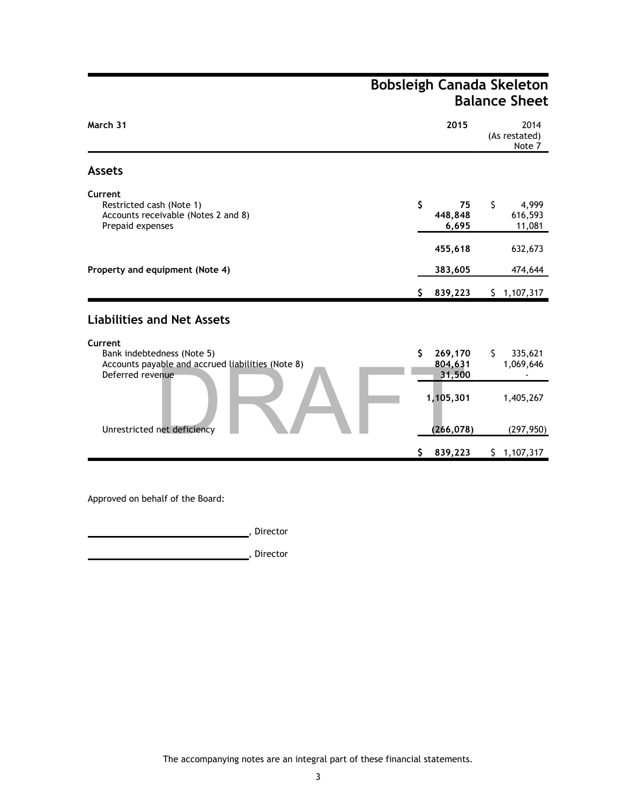# **Bobsleigh Canada Skeleton Balance Sheet**

| March 31                                                                                                       |    | 2015                         |     | 2014<br>(As restated)<br>Note 7 |
|----------------------------------------------------------------------------------------------------------------|----|------------------------------|-----|---------------------------------|
| <b>Assets</b>                                                                                                  |    |                              |     |                                 |
| Current<br>Restricted cash (Note 1)<br>Accounts receivable (Notes 2 and 8)<br>Prepaid expenses                 | \$ | 75<br>448,848<br>6,695       | \$  | 4,999<br>616,593<br>11,081      |
|                                                                                                                |    | 455,618                      |     | 632,673                         |
| Property and equipment (Note 4)                                                                                |    | 383,605                      |     | 474,644                         |
|                                                                                                                | S. | 839,223                      | \$. | 1,107,317                       |
| <b>Liabilities and Net Assets</b>                                                                              |    |                              |     |                                 |
| Current<br>Bank indebtedness (Note 5)<br>Accounts payable and accrued liabilities (Note 8)<br>Deferred revenue | \$ | 269,170<br>804,631<br>31,500 | S.  | 335,621<br>1,069,646            |
|                                                                                                                |    | 1,105,301                    |     | 1,405,267                       |
| Unrestricted net deficiency                                                                                    | S. | (266, 078)<br>839,223        |     | (297, 950)<br>\$1,107,317       |

Approved on behalf of the Board:

**here** is a set of the set of the set of the set of the set of the set of the set of the set of the set of the set of the set of the set of the set of the set of the set of the set of the set of the set of the set of the s

, Director

The accompanying notes are an integral part of these financial statements.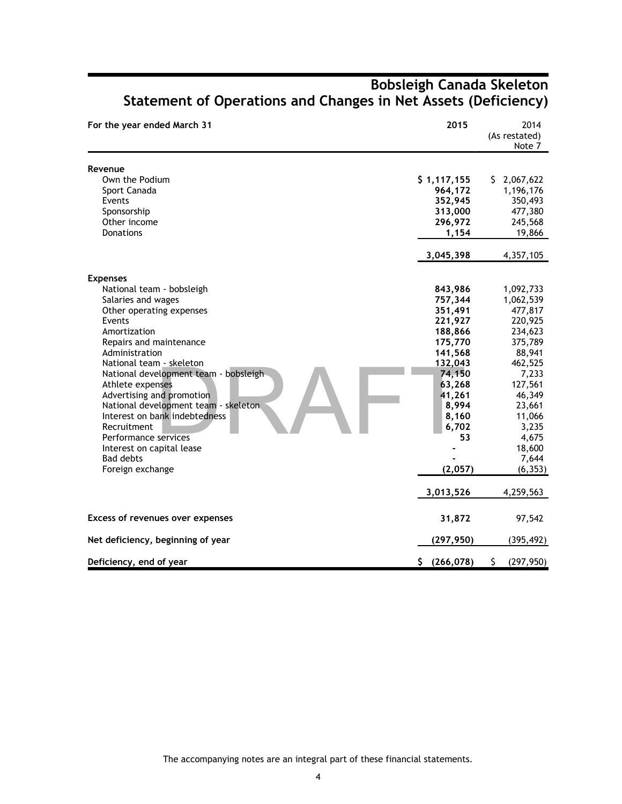| For the year ended March 31                                                                                                                                                                                                                                                                                                                                                                                                                                                       | 2015                                                                                                                                                                        | 2014<br>(As restated)<br>Note 7                                                                                                                                                                         |
|-----------------------------------------------------------------------------------------------------------------------------------------------------------------------------------------------------------------------------------------------------------------------------------------------------------------------------------------------------------------------------------------------------------------------------------------------------------------------------------|-----------------------------------------------------------------------------------------------------------------------------------------------------------------------------|---------------------------------------------------------------------------------------------------------------------------------------------------------------------------------------------------------|
| Revenue<br>Own the Podium<br>Sport Canada<br>Events<br>Sponsorship<br>Other income<br><b>Donations</b>                                                                                                                                                                                                                                                                                                                                                                            | \$1,117,155<br>964,172<br>352,945<br>313,000<br>296,972<br>1,154<br>3,045,398                                                                                               | \$2,067,622<br>1,196,176<br>350,493<br>477,380<br>245,568<br>19,866<br>4,357,105                                                                                                                        |
| <b>Expenses</b><br>National team - bobsleigh<br>Salaries and wages<br>Other operating expenses<br>Events<br>Amortization<br>Repairs and maintenance<br>Administration<br>National team - skeleton<br>National development team - bobsleigh<br>Athlete expenses<br>Advertising and promotion<br>National development team - skeleton.<br>Interest on bank indebtedness<br>Recruitment<br>Performance services<br>Interest on capital lease<br><b>Bad debts</b><br>Foreign exchange | 843,986<br>757,344<br>351,491<br>221,927<br>188,866<br>175,770<br>141,568<br>132,043<br>74,150<br>63,268<br>41,261<br>8,994<br>8,160<br>6,702<br>53<br>(2,057)<br>3,013,526 | 1,092,733<br>1,062,539<br>477,817<br>220,925<br>234,623<br>375,789<br>88,941<br>462,525<br>7,233<br>127,561<br>46,349<br>23,661<br>11,066<br>3,235<br>4,675<br>18,600<br>7,644<br>(6, 353)<br>4,259,563 |
| Excess of revenues over expenses                                                                                                                                                                                                                                                                                                                                                                                                                                                  | 31,872                                                                                                                                                                      | 97,542                                                                                                                                                                                                  |
| Net deficiency, beginning of year                                                                                                                                                                                                                                                                                                                                                                                                                                                 | (297, 950)                                                                                                                                                                  | (395, 492)                                                                                                                                                                                              |
| Deficiency, end of year                                                                                                                                                                                                                                                                                                                                                                                                                                                           | \$(266,078)                                                                                                                                                                 | \$<br>(297, 950)                                                                                                                                                                                        |

# **Bobsleigh Canada Skeleton Statement of Operations and Changes in Net Assets (Deficiency)**

The accompanying notes are an integral part of these financial statements.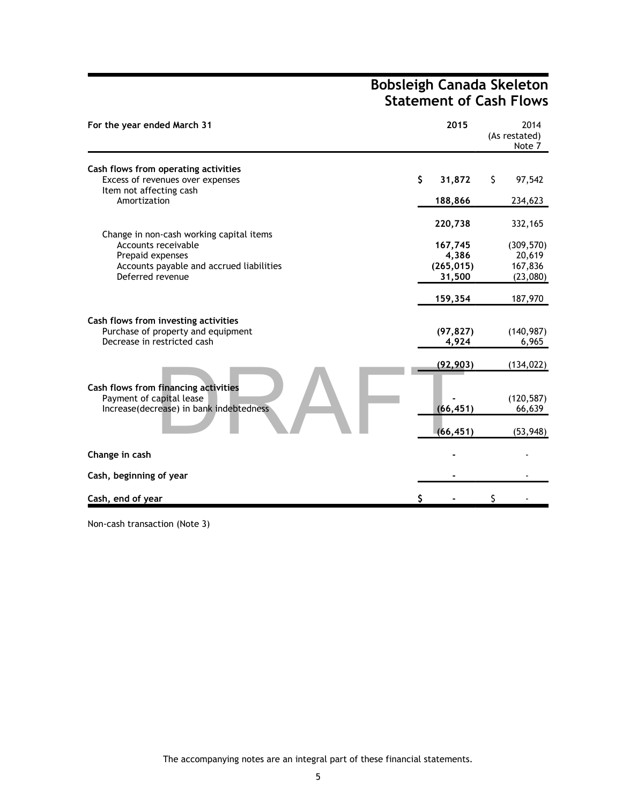# **Bobsleigh Canada Skeleton Statement of Cash Flows**

| For the year ended March 31                                  | 2015                |    | 2014<br>(As restated)<br>Note 7 |
|--------------------------------------------------------------|---------------------|----|---------------------------------|
| Cash flows from operating activities                         |                     |    |                                 |
| Excess of revenues over expenses                             | \$<br>31,872        | \$ | 97,542                          |
| Item not affecting cash<br>Amortization                      | 188,866             |    | 234,623                         |
|                                                              | 220,738             |    | 332,165                         |
| Change in non-cash working capital items                     |                     |    |                                 |
| Accounts receivable                                          | 167,745             |    | (309, 570)                      |
| Prepaid expenses<br>Accounts payable and accrued liabilities | 4,386<br>(265, 015) |    | 20,619<br>167,836               |
| Deferred revenue                                             | 31,500              |    | (23,080)                        |
|                                                              |                     |    |                                 |
|                                                              | 159,354             |    | 187,970                         |
| Cash flows from investing activities                         |                     |    |                                 |
| Purchase of property and equipment                           | (97, 827)           |    | (140, 987)                      |
| Decrease in restricted cash                                  | 4,924               |    | 6,965                           |
|                                                              | (92,903)            |    | (134, 022)                      |
| Cash flows from financing activities                         |                     |    |                                 |
| Payment of capital lease                                     |                     |    | (120, 587)                      |
| Increase(decrease) in bank indebtedness                      | (66, 451)           |    | 66,639                          |
|                                                              |                     |    |                                 |
|                                                              | (66, 451)           |    | (53, 948)                       |
| Change in cash                                               |                     |    |                                 |
| Cash, beginning of year                                      |                     |    |                                 |
| Cash, end of year                                            |                     | S  |                                 |

Non-cash transaction (Note 3)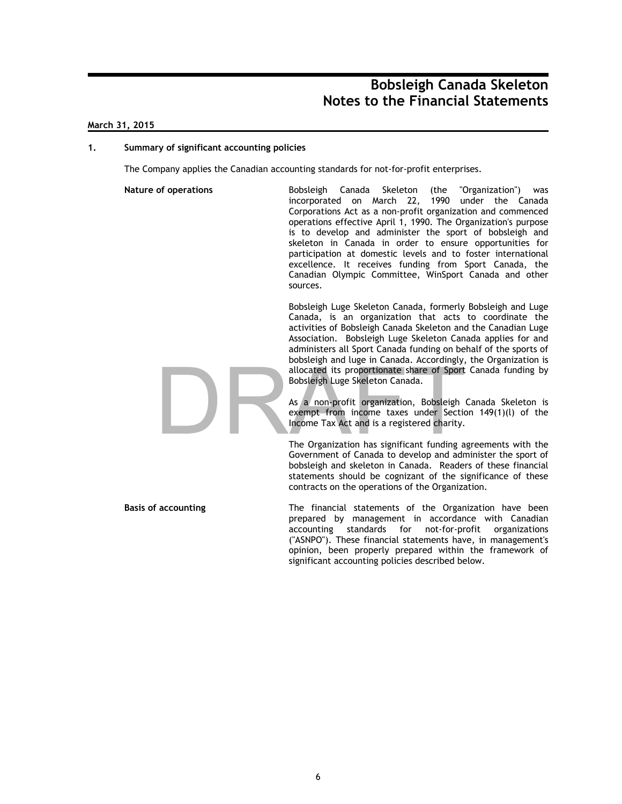### **March 31, 2015**

#### **1. Summary of significant accounting policies**

The Company applies the Canadian accounting standards for not-for-profit enterprises.

**Nature of operations** Bobsleigh Canada Skeleton (the "Organization") was incorporated on March 22, 1990 under the Canada Corporations Act as a non-profit organization and commenced operations effective April 1, 1990. The Organization's purpose is to develop and administer the sport of bobsleigh and skeleton in Canada in order to ensure opportunities for participation at domestic levels and to foster international excellence. It receives funding from Sport Canada, the Canadian Olympic Committee, WinSport Canada and other sources.

> Bobsleigh Luge Skeleton Canada, formerly Bobsleigh and Luge Canada, is an organization that acts to coordinate the activities of Bobsleigh Canada Skeleton and the Canadian Luge Association. Bobsleigh Luge Skeleton Canada applies for and administers all Sport Canada funding on behalf of the sports of bobsleigh and luge in Canada. Accordingly, the Organization is allocated its proportionate share of Sport Canada funding by Bobsleigh Luge Skeleton Canada.

As a non-profit organization, Bobsleigh Canada Skeleton is exempt from income taxes under Section 149(1)(l) of the Income Tax Act and is a registered charity. allocated its proportionate share of Sport<br>Bobsleigh Luge Skeleton Canada.<br>As a non-profit organization, Bobsleigh<br>exempt from income taxes under Section<br>Income Tax Act and is a registered charity.<br>The Organization has sig

The Organization has significant funding agreements with the Government of Canada to develop and administer the sport of bobsleigh and skeleton in Canada. Readers of these financial statements should be cognizant of the significance of these contracts on the operations of the Organization.

**Basis of accounting** The financial statements of the Organization have been prepared by management in accordance with Canadian accounting standards for not-for-profit organizations ("ASNPO"). These financial statements have, in management's opinion, been properly prepared within the framework of significant accounting policies described below.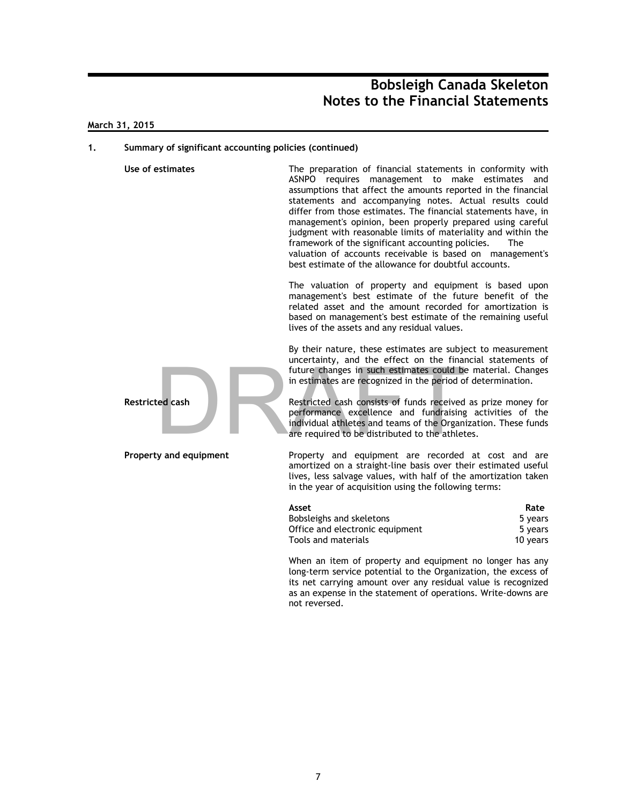### **March 31, 2015**

#### **1. Summary of significant accounting policies (continued)**



**Use of estimates** The preparation of financial statements in conformity with ASNPO requires management to make estimates and assumptions that affect the amounts reported in the financial statements and accompanying notes. Actual results could differ from those estimates. The financial statements have, in management's opinion, been properly prepared using careful judgment with reasonable limits of materiality and within the framework of the significant accounting policies. The valuation of accounts receivable is based on management's best estimate of the allowance for doubtful accounts.

> The valuation of property and equipment is based upon management's best estimate of the future benefit of the related asset and the amount recorded for amortization is based on management's best estimate of the remaining useful lives of the assets and any residual values.

> By their nature, these estimates are subject to measurement uncertainty, and the effect on the financial statements of future changes in such estimates could be material. Changes in estimates are recognized in the period of determination.

**Restricted cash Restricted cash consists of funds received as prize money for** performance excellence and fundraising activities of the individual athletes and teams of the Organization. These funds are required to be distributed to the athletes.

**Property and equipment** Property and equipment are recorded at cost and are amortized on a straight-line basis over their estimated useful lives, less salvage values, with half of the amortization taken in the year of acquisition using the following terms:

| Asset                           | Rate     |
|---------------------------------|----------|
| Bobsleighs and skeletons        | 5 years  |
| Office and electronic equipment | 5 years  |
| Tools and materials             | 10 years |

When an item of property and equipment no longer has any long-term service potential to the Organization, the excess of its net carrying amount over any residual value is recognized as an expense in the statement of operations. Write-downs are not reversed.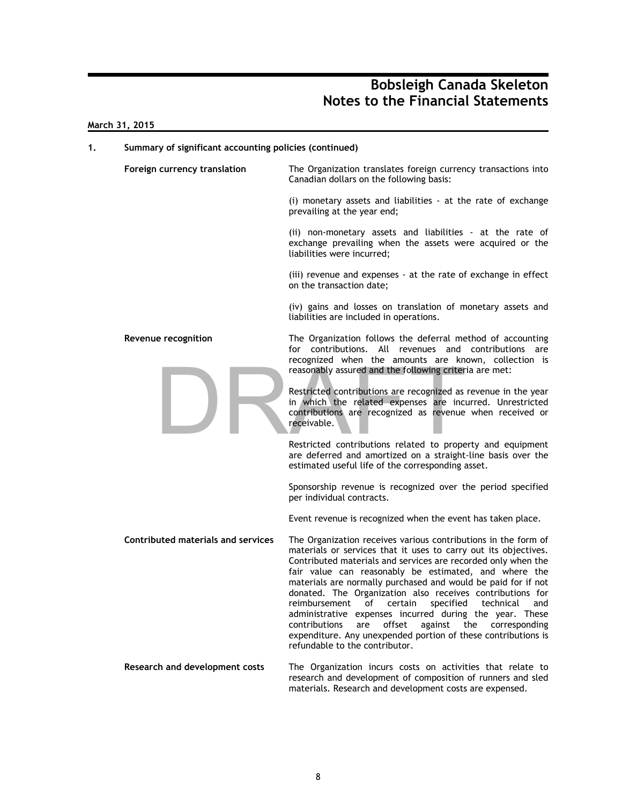### **March 31, 2015**

## **1. Summary of significant accounting policies (continued) Foreign currency translation** The Organization translates foreign currency transactions into Canadian dollars on the following basis: (i) monetary assets and liabilities - at the rate of exchange prevailing at the year end; (ii) non-monetary assets and liabilities - at the rate of exchange prevailing when the assets were acquired or the liabilities were incurred; (iii) revenue and expenses - at the rate of exchange in effect on the transaction date; (iv) gains and losses on translation of monetary assets and liabilities are included in operations. **Revenue recognition** The Organization follows the deferral method of accounting for contributions. All revenues and contributions are recognized when the amounts are known, collection is reasonably assured and the following criteria are met: Restricted contributions are recognized as revenue in the year in which the related expenses are incurred. Unrestricted contributions are recognized as revenue when received or receivable. Restricted contributions related to property and equipment are deferred and amortized on a straight-line basis over the estimated useful life of the corresponding asset. Sponsorship revenue is recognized over the period specified per individual contracts. Event revenue is recognized when the event has taken place. **Contributed materials and services** The Organization receives various contributions in the form of materials or services that it uses to carry out its objectives. Contributed materials and services are recorded only when the fair value can reasonably be estimated, and where the materials are normally purchased and would be paid for if not donated. The Organization also receives contributions for reimbursement of certain specified technical and administrative expenses incurred during the year. These contributions are offset against the corresponding expenditure. Any unexpended portion of these contributions is refundable to the contributor. **Research and development costs** The Organization incurs costs on activities that relate to research and development of composition of runners and sled materials. Research and development costs are expensed. reasonably assured and the following criter<br>
Restricted contributions are recognized as<br>
in which the related expenses are incontributions<br>
are recognized as revenue<br>
receivable.<br>
Restricted contributions related to prope<br>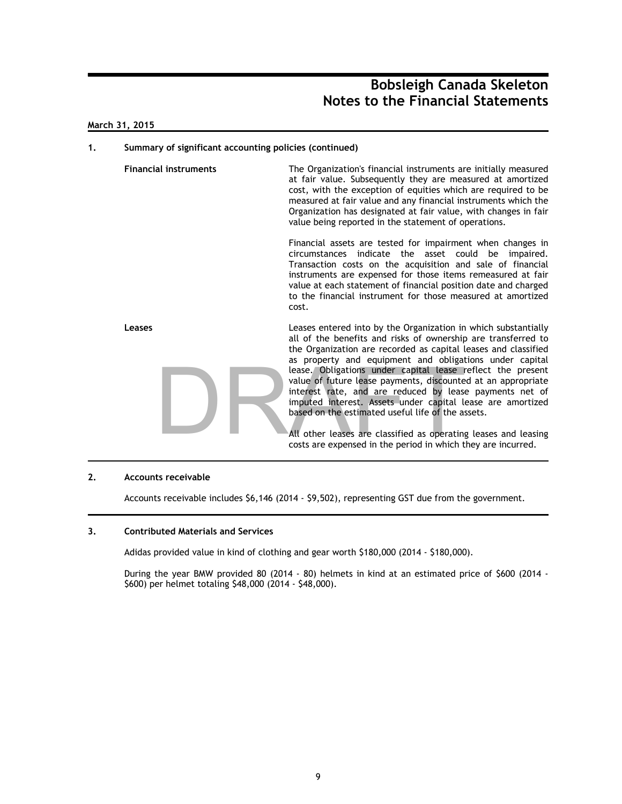### **March 31, 2015**

#### **1. Summary of significant accounting policies (continued)**

**Financial instruments** The Organization's financial instruments are initially measured at fair value. Subsequently they are measured at amortized cost, with the exception of equities which are required to be measured at fair value and any financial instruments which the Organization has designated at fair value, with changes in fair value being reported in the statement of operations.

> Financial assets are tested for impairment when changes in circumstances indicate the asset could be impaired. Transaction costs on the acquisition and sale of financial instruments are expensed for those items remeasured at fair value at each statement of financial position date and charged to the financial instrument for those measured at amortized cost.



**Leases** Leases entered into by the Organization in which substantially all of the benefits and risks of ownership are transferred to the Organization are recorded as capital leases and classified as property and equipment and obligations under capital lease. Obligations under capital lease reflect the present value of future lease payments, discounted at an appropriate interest rate, and are reduced by lease payments net of imputed interest. Assets under capital lease are amortized based on the estimated useful life of the assets.

> All other leases are classified as operating leases and leasing costs are expensed in the period in which they are incurred.

#### **2. Accounts receivable**

Accounts receivable includes \$6,146 (2014 - \$9,502), representing GST due from the government.

#### **3. Contributed Materials and Services**

Adidas provided value in kind of clothing and gear worth \$180,000 (2014 - \$180,000).

During the year BMW provided 80 (2014 - 80) helmets in kind at an estimated price of \$600 (2014 - \$600) per helmet totaling \$48,000 (2014 - \$48,000).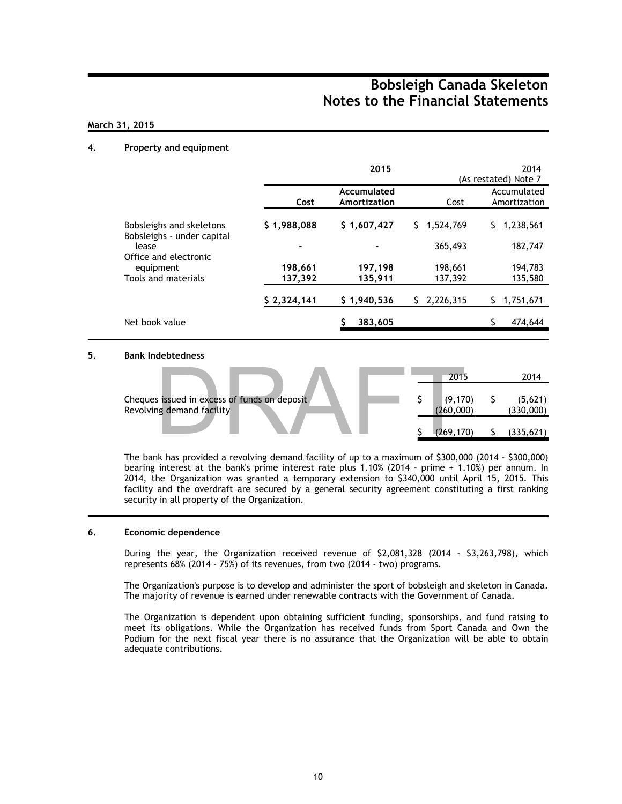## **March 31, 2015**

### **4. Property and equipment**

|                                                        |             | 2015                        |                     | 2014<br>(As restated) Note 7 |  |  |
|--------------------------------------------------------|-------------|-----------------------------|---------------------|------------------------------|--|--|
|                                                        | Cost        | Accumulated<br>Amortization | Cost                | Accumulated<br>Amortization  |  |  |
| Bobsleighs and skeletons<br>Bobsleighs - under capital | \$1,988,088 | \$1,607,427                 | $5 \quad 1,524,769$ | 1,238,561<br>S.              |  |  |
| lease<br>Office and electronic                         |             |                             | 365,493             | 182,747                      |  |  |
| equipment                                              | 198,661     | 197,198                     | 198,661             | 194,783                      |  |  |
| Tools and materials                                    | 137,392     | 135,911                     | 137,392             | 135,580                      |  |  |
|                                                        | \$2,324,141 | \$1,940,536                 | 2,226,315<br>S.     | 1,751,671                    |  |  |
| Net book value                                         |             | 383,605                     |                     | 474,644                      |  |  |

### **5. Bank Indebtedness**

|                                                                                                    |  | 2015                  | 2014                 |
|----------------------------------------------------------------------------------------------------|--|-----------------------|----------------------|
| Cheques issued in excess of funds on deposit<br>Revolving demand facility                          |  | (9, 170)<br>(260,000) | (5,621)<br>(330,000) |
|                                                                                                    |  | (269, 170)            | (335, 621)           |
| The book has accepted a conclusion decorated that the contract of $\ell$ 000,000 $\ell$ 000 $\ell$ |  |                       | $\sim$               |

The bank has provided a revolving demand facility of up to a maximum of \$300,000 (2014 - \$300,000) bearing interest at the bank's prime interest rate plus 1.10% (2014 - prime + 1.10%) per annum. In 2014, the Organization was granted a temporary extension to \$340,000 until April 15, 2015. This facility and the overdraft are secured by a general security agreement constituting a first ranking security in all property of the Organization.

#### **6. Economic dependence**

During the year, the Organization received revenue of \$2,081,328 (2014 - \$3,263,798), which represents 68% (2014 - 75%) of its revenues, from two (2014 - two) programs.

The Organization's purpose is to develop and administer the sport of bobsleigh and skeleton in Canada. The majority of revenue is earned under renewable contracts with the Government of Canada.

The Organization is dependent upon obtaining sufficient funding, sponsorships, and fund raising to meet its obligations. While the Organization has received funds from Sport Canada and Own the Podium for the next fiscal year there is no assurance that the Organization will be able to obtain adequate contributions.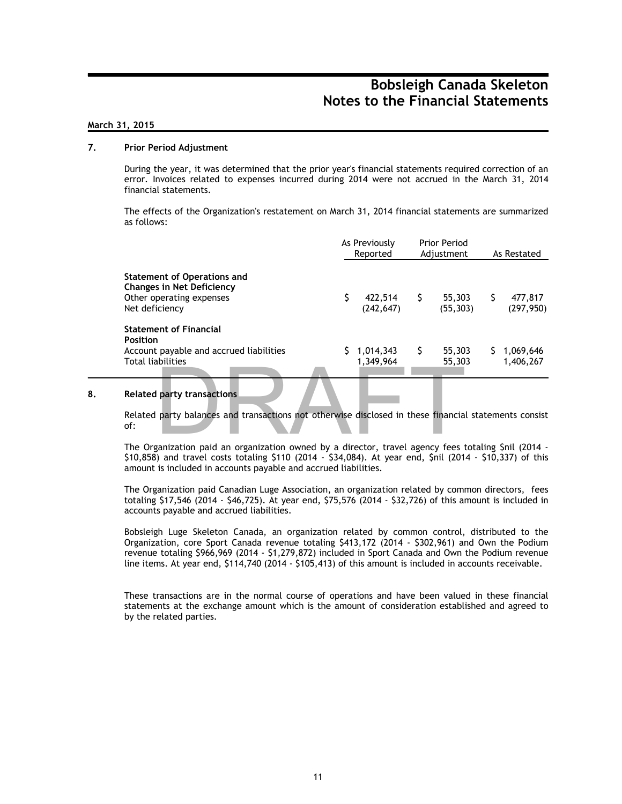### **March 31, 2015**

### **7. Prior Period Adjustment**

During the year, it was determined that the prior year's financial statements required correction of an error. Invoices related to expenses incurred during 2014 were not accrued in the March 31, 2014 financial statements.

The effects of the Organization's restatement on March 31, 2014 financial statements are summarized as follows:

|                                                                                                                                                   | As Previously<br>Reported |                             | <b>Prior Period</b><br>Adjustment |                                | As Restated |                        |
|---------------------------------------------------------------------------------------------------------------------------------------------------|---------------------------|-----------------------------|-----------------------------------|--------------------------------|-------------|------------------------|
| <b>Statement of Operations and</b><br><b>Changes in Net Deficiency</b><br>Other operating expenses<br>Net deficiency                              |                           | (242, 647)                  |                                   | 422,514 \$ 55,303<br>(55, 303) | S.          | 477,817<br>(297, 950)  |
| <b>Statement of Financial</b><br><b>Position</b><br>Account payable and accrued liabilities<br><b>Total liabilities</b>                           |                           | $1,014,343$ \$<br>1,349,964 |                                   | 55,303<br>55,303               | S.          | 1,069,646<br>1,406,267 |
| <b>Related party transactions</b><br>Related party balances and transactions not otherwise disclosed in these financial statements consist<br>of: |                           |                             |                                   |                                |             |                        |
| The Organization paid an organization owned by a director, travel agency fees totaling \$nil (2014 -<br>$\mathcal{L}(\mathcal{A})$                |                           |                             |                                   |                                |             |                        |

### **8. Related party transactions**

The Organization paid an organization owned by a director, travel agency fees totaling \$nil (2014 - \$10,858) and travel costs totaling \$110 (2014 - \$34,084). At year end, \$nil (2014 - \$10,337) of this amount is included in accounts payable and accrued liabilities.

The Organization paid Canadian Luge Association, an organization related by common directors, fees totaling \$17,546 (2014 - \$46,725). At year end, \$75,576 (2014 - \$32,726) of this amount is included in accounts payable and accrued liabilities.

Bobsleigh Luge Skeleton Canada, an organization related by common control, distributed to the Organization, core Sport Canada revenue totaling \$413,172 (2014 - \$302,961) and Own the Podium revenue totaling \$966,969 (2014 - \$1,279,872) included in Sport Canada and Own the Podium revenue line items. At year end, \$114,740 (2014 - \$105,413) of this amount is included in accounts receivable.

These transactions are in the normal course of operations and have been valued in these financial statements at the exchange amount which is the amount of consideration established and agreed to by the related parties.